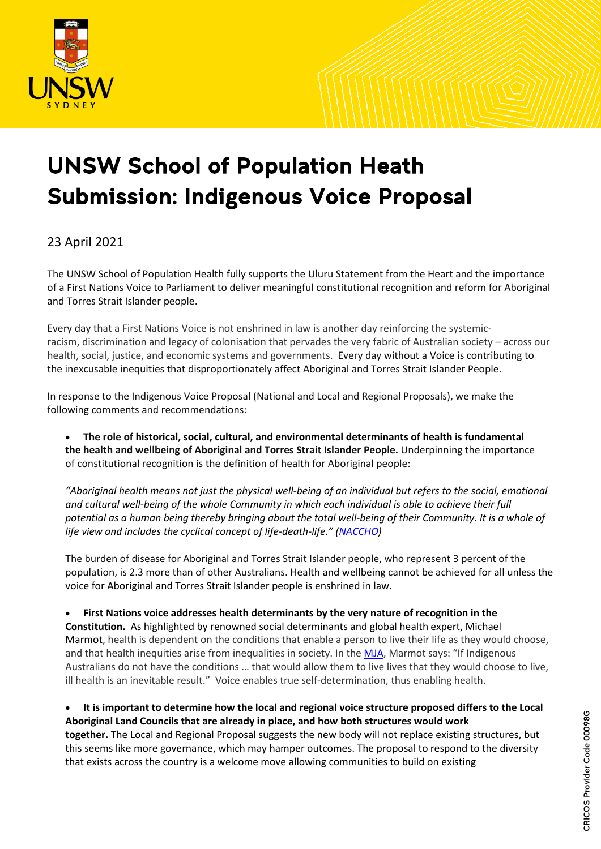

## UNSW School of Population Heath Submission: Indigenous Voice Proposal

## 23 April 2021

The UNSW School of Population Health fully supports the Uluru Statement from the Heart and the importance of a First Nations Voice to Parliament to deliver meaningful constitutional recognition and reform for Aboriginal and Torres Strait Islander people.

Every day that a First Nations Voice is not enshrined in law is another day reinforcing the systemicracism, discrimination and legacy of colonisation that pervades the very fabric of Australian society – across our health, social, justice, and economic systems and governments. Every day without a Voice is contributing to the inexcusable inequities that disproportionately affect Aboriginal and Torres Strait Islander People.

In response to the Indigenous Voice Proposal (National and Local and Regional Proposals), we make the following comments and recommendations:

• **The role of historical, social, cultural, and environmental determinants of health is fundamental the health and wellbeing of Aboriginal and Torres Strait Islander People.** Underpinning the importance of constitutional recognition is the definition of health for Aboriginal people:

*"Aboriginal health means not just the physical well-being of an individual but refers to the social, emotional and cultural well-being of the whole Community in which each individual is able to achieve their full potential as a human being thereby bringing about the total well-being of their Community. It is a whole of life view and includes the cyclical concept of life-death-life." [\(NACCHO\)](https://www.naccho.org.au/about/aboriginal-health-history/definitions/)Definition%20of%20health)*

The burden of disease for Aboriginal and Torres Strait Islander people, who represent 3 percent of the population, is 2.3 more than of other Australians. Health and wellbeing cannot be achieved for all unless the voice for Aboriginal and Torres Strait Islander people is enshrined in law.

• **First Nations voice addresses health determinants by the very nature of recognition in the Constitution.** As highlighted by renowned social determinants and global health expert, Michael Marmot, health is dependent on the conditions that enable a person to live their life as they would choose, and that health inequities arise from inequalities in society. In the [MJA,](https://www.mja.com.au/journal/2011/194/10/social-determinants-and-health-indigenous-australians) Marmot says: "If Indigenous Australians do not have the conditions … that would allow them to live lives that they would choose to live, ill health is an inevitable result."  Voice enables true self-determination, thus enabling health.

• **It is important to determine how the local and regional voice structure proposed differs to the Local Aboriginal Land Councils that are already in place, and how both structures would work together.** The Local and Regional Proposal suggests the new body will not replace existing structures, but this seems like more governance, which may hamper outcomes. The proposal to respond to the diversity that exists across the country is a welcome move allowing communities to build on existing